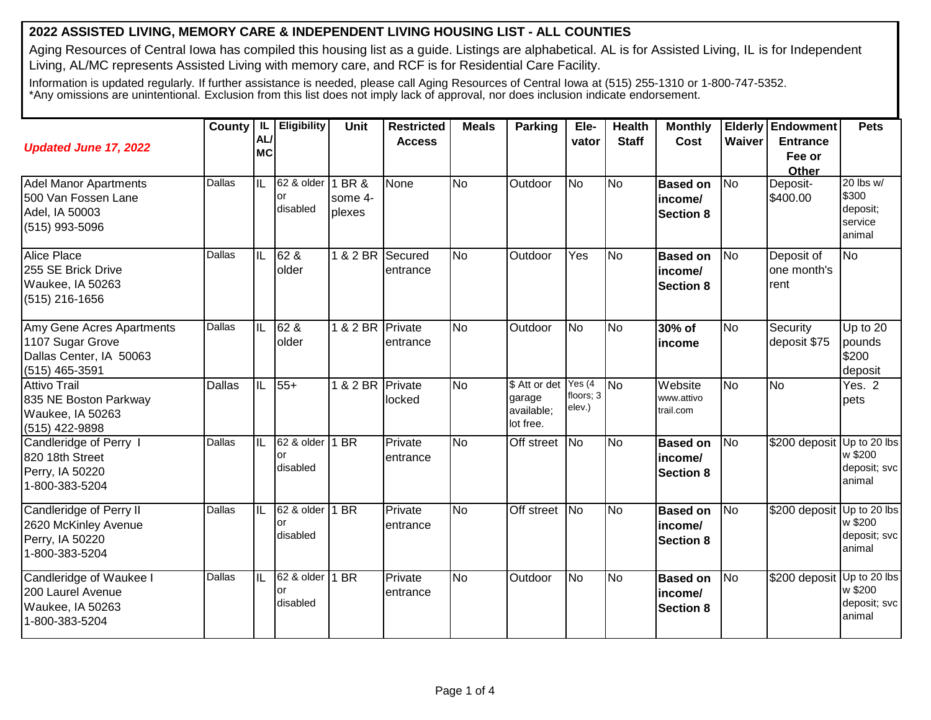## **2022 ASSISTED LIVING, MEMORY CARE & INDEPENDENT LIVING HOUSING LIST - ALL COUNTIES**

Aging Resources of Central Iowa has compiled this housing list as a guide. Listings are alphabetical. AL is for Assisted Living, IL is for Independent Living, AL/MC represents Assisted Living with memory care, and RCF is for Residential Care Facility.

Information is updated regularly. If further assistance is needed, please call Aging Resources of Central Iowa at (515) 255-1310 or 1-800-747-5352. \*Any omissions are unintentional. Exclusion from this list does not imply lack of approval, nor does inclusion indicate endorsement.

| <b>Updated June 17, 2022</b>                                                               | County   IL   | AL/<br><b>MC</b>         | <b>Eligibility</b>                  | Unit              | <b>Restricted</b><br><b>Access</b> | <b>Meals</b>   | <b>Parking</b>                                     | Ele-<br>vator                  | <b>Health</b><br><b>Staff</b> | <b>Monthly</b><br>Cost                         | <b>Waiver</b>  | <b>Elderly Endowment</b><br><b>Entrance</b><br>Fee or<br><b>Other</b> | <b>Pets</b>                                         |
|--------------------------------------------------------------------------------------------|---------------|--------------------------|-------------------------------------|-------------------|------------------------------------|----------------|----------------------------------------------------|--------------------------------|-------------------------------|------------------------------------------------|----------------|-----------------------------------------------------------------------|-----------------------------------------------------|
| <b>Adel Manor Apartments</b><br>500 Van Fossen Lane<br>Adel, IA 50003<br>(515) 993-5096    | Dallas        | IL                       | 62 & older 1 BR &<br>or<br>disabled | some 4-<br>plexes | None                               | <b>No</b>      | Outdoor                                            | <b>No</b>                      | <b>No</b>                     | <b>Based on</b><br>income/<br><b>Section 8</b> | N <sub>o</sub> | Deposit-<br>\$400.00                                                  | 20 lbs w/<br>\$300<br>deposit;<br>service<br>animal |
| Alice Place<br>255 SE Brick Drive<br>Waukee, IA 50263<br>(515) 216-1656                    | <b>Dallas</b> | $\overline{\mathsf{IL}}$ | 62 &<br>older                       | 1 & 2 BR          | Secured<br>entrance                | <b>No</b>      | Outdoor                                            | Yes                            | <b>No</b>                     | <b>Based on</b><br>income/<br><b>Section 8</b> | <b>No</b>      | Deposit of<br>one month's<br>rent                                     | <b>No</b>                                           |
| Amy Gene Acres Apartments<br>1107 Sugar Grove<br>Dallas Center, IA 50063<br>(515) 465-3591 | Dallas        | IL                       | 62 &<br>older                       | 1 & 2 BR Private  | entrance                           | <b>No</b>      | Outdoor                                            | <b>No</b>                      | <b>No</b>                     | 30% of<br><i>income</i>                        | No             | Security<br>deposit \$75                                              | Up to 20<br>pounds<br>\$200<br>deposit              |
| <b>Attivo Trail</b><br>835 NE Boston Parkway<br>Waukee, IA 50263<br>(515) 422-9898         | Dallas        | IL                       | $55+$                               | 1 & 2 BR          | Private<br>locked                  | <b>No</b>      | \$ Att or det<br>garage<br>available;<br>lot free. | Yes (4)<br>floors; 3<br>elev.) | <b>No</b>                     | Website<br>www.attivo<br>trail.com             | <b>No</b>      | <b>No</b>                                                             | Yes. 2<br>pets                                      |
| Candleridge of Perry I<br>820 18th Street<br>Perry, IA 50220<br>1-800-383-5204             | <b>Dallas</b> | $\overline{\mathsf{IL}}$ | 62 & older   1 BR<br>or<br>disabled |                   | Private<br>entrance                | <b>No</b>      | Off street                                         | <b>No</b>                      | <b>No</b>                     | <b>Based on</b><br>income/<br><b>Section 8</b> | No             | \$200 deposit                                                         | Up to 20 lbs<br>w \$200<br>deposit; svc<br>animal   |
| Candleridge of Perry II<br>2620 McKinley Avenue<br>Perry, IA 50220<br>1-800-383-5204       | Dallas        | IL                       | 62 & older   1 BR<br>or<br>disabled |                   | Private<br>entrance                | $\overline{N}$ | Off street                                         | <b>No</b>                      | <b>No</b>                     | <b>Based on</b><br>income/<br><b>Section 8</b> | <b>No</b>      | \$200 deposit                                                         | Up to 20 lbs<br>w \$200<br>deposit; svc<br>animal   |
| Candleridge of Waukee I<br>200 Laurel Avenue<br>Waukee, IA 50263<br>1-800-383-5204         | Dallas        | IL                       | 62 & older   1 BR<br>or<br>disabled |                   | Private<br>entrance                | <b>No</b>      | Outdoor                                            | <b>No</b>                      | <b>No</b>                     | <b>Based on</b><br>income/<br><b>Section 8</b> | <b>No</b>      | \$200 deposit Up to 20 lbs                                            | w \$200<br>deposit; svc<br>animal                   |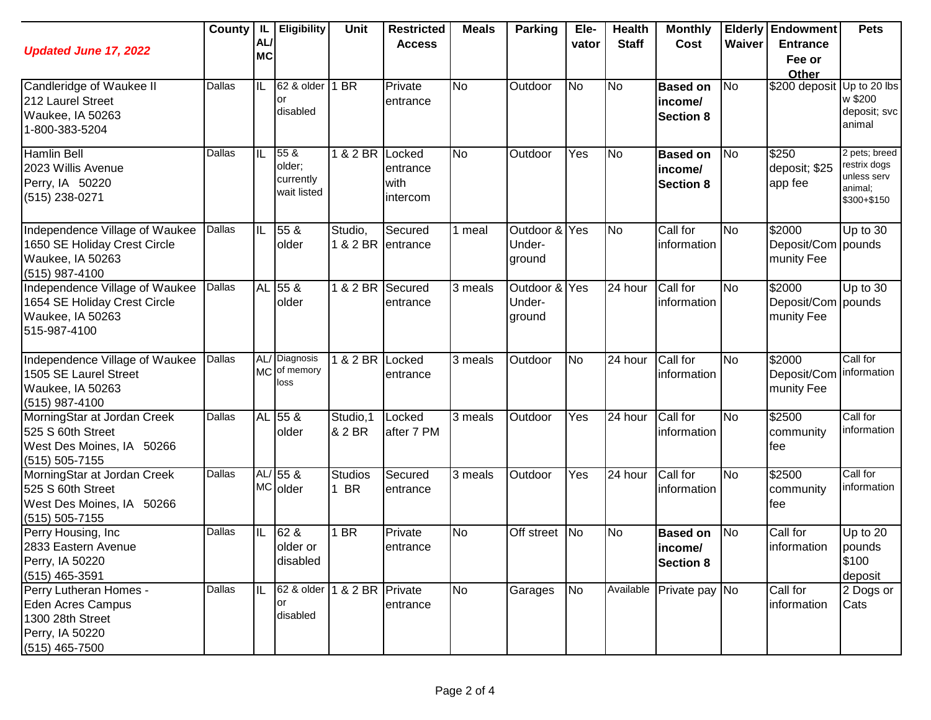| <b>Updated June 17, 2022</b>                                                                           |        | AL/<br><b>MC</b> | County   IL   Eligibility                  | Unit                | <b>Restricted</b><br><b>Access</b>     | <b>Meals</b>   | <b>Parking</b>                    | Ele-<br>vator | <b>Health</b><br><b>Staff</b> | <b>Monthly</b><br>Cost                         | Waiver    | <b>Elderly Endowment</b><br><b>Entrance</b><br>Fee or<br>Other | <b>Pets</b>                                                            |
|--------------------------------------------------------------------------------------------------------|--------|------------------|--------------------------------------------|---------------------|----------------------------------------|----------------|-----------------------------------|---------------|-------------------------------|------------------------------------------------|-----------|----------------------------------------------------------------|------------------------------------------------------------------------|
| Candleridge of Waukee II<br>212 Laurel Street<br>Waukee, IA 50263<br>1-800-383-5204                    | Dallas | IL               | 62 & older<br>or<br>disabled               | 1 BR                | Private<br>entrance                    | <b>No</b>      | Outdoor                           | <b>No</b>     | No                            | <b>Based on</b><br>income/<br><b>Section 8</b> | <b>No</b> | \$200 deposit Up to 20 lbs                                     | w \$200<br>deposit; svc<br>animal                                      |
| <b>Hamlin Bell</b><br>2023 Willis Avenue<br>Perry, IA 50220<br>(515) 238-0271                          | Dallas | IL               | 55 &<br>older;<br>currently<br>wait listed | 182BR               | Locked<br>entrance<br>with<br>intercom | <b>No</b>      | Outdoor                           | Yes           | N <sub>o</sub>                | <b>Based on</b><br>income/<br><b>Section 8</b> | No        | \$250<br>deposit; \$25<br>app fee                              | 2 pets; breed<br>restrix dogs<br>unless serv<br>animal;<br>\$300+\$150 |
| Independence Village of Waukee<br>1650 SE Holiday Crest Circle<br>Waukee, IA 50263<br>$(515)$ 987-4100 | Dallas | IL               | 55 &<br>older                              | Studio,<br>1 & 2 BR | Secured<br>entrance                    | 1 meal         | Outdoor & Yes<br>Under-<br>ground |               | <b>No</b>                     | Call for<br>information                        | <b>No</b> | \$2000<br>Deposit/Com pounds<br>munity Fee                     | Up to 30                                                               |
| Independence Village of Waukee<br>1654 SE Holiday Crest Circle<br>Waukee, IA 50263<br>515-987-4100     | Dallas |                  | AL 55 &<br>older                           | 1 & 2 BR            | Secured<br>entrance                    | 3 meals        | Outdoor & Yes<br>Under-<br>ground |               | 24 hour                       | Call for<br>information                        | No        | $\sqrt{$2000}$<br>Deposit/Com pounds<br>munity Fee             | Up to 30                                                               |
| Independence Village of Waukee<br>1505 SE Laurel Street<br>Waukee, IA 50263<br>$(515)$ 987-4100        | Dallas |                  | AL/ Diagnosis<br>MC of memory<br>loss      | 1 & 2 BR            | Locked<br>entrance                     | 3 meals        | Outdoor                           | <b>No</b>     | 24 hour                       | Call for<br>information                        | No        | \$2000<br>Deposit/Com<br>munity Fee                            | Call for<br>information                                                |
| MorningStar at Jordan Creek<br>525 S 60th Street<br>West Des Moines, IA 50266<br>$(515) 505 - 7155$    | Dallas |                  | AL 55 &<br>older                           | Studio, 1<br>& 2 BR | Locked<br>after 7 PM                   | 3 meals        | Outdoor                           | Yes           | 24 hour                       | Call for<br>information                        | <b>No</b> | \$2500<br>community<br>fee                                     | Call for<br>information                                                |
| MorningStar at Jordan Creek<br>525 S 60th Street<br>West Des Moines, IA 50266<br>(515) 505-7155        | Dallas |                  | AL/ 55 &<br>MC older                       | Studios<br>1 BR     | Secured<br>entrance                    | 3 meals        | Outdoor                           | Yes           | 24 hour                       | Call for<br>information                        | <b>No</b> | \$2500<br>community<br>lfee                                    | Call for<br>information                                                |
| Perry Housing, Inc.<br>2833 Eastern Avenue<br>Perry, IA 50220<br>(515) 465-3591                        | Dallas | IL               | 62 &<br>older or<br>disabled               | 1 BR                | Private<br>entrance                    | <b>No</b>      | Off street No                     |               | N <sub>o</sub>                | <b>Based on</b><br>income/<br><b>Section 8</b> | <b>No</b> | Call for<br>information                                        | Up to 20<br>pounds<br>\$100<br>deposit                                 |
| Perry Lutheran Homes -<br>Eden Acres Campus<br>1300 28th Street<br>Perry, IA 50220<br>$(515)$ 465-7500 | Dallas | IIL              | 62 & older<br>or<br>disabled               | 1 & 2 BR Private    | entrance                               | $\overline{N}$ | Garages                           | <b>No</b>     |                               | Available Private pay No                       |           | Call for<br>information                                        | 2 Dogs or<br>Cats                                                      |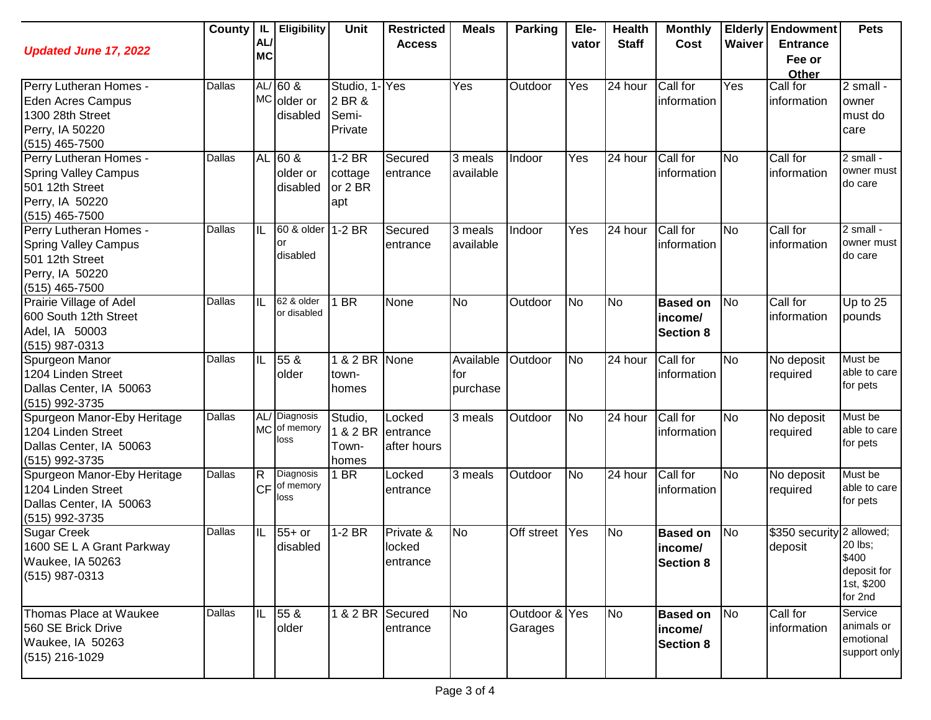| <b>Updated June 17, 2022</b>                                                                                    | County | AL/<br><b>MC</b>                     | IL Eligibility                       | Unit                                        | <b>Restricted</b><br><b>Access</b> | <b>Meals</b>                 | Parking                  | Ele-<br>vator | <b>Health</b><br><b>Staff</b> | <b>Monthly</b><br>Cost                          | Waiver         | <b>Elderly Endowment</b><br><b>Entrance</b><br>Fee or<br>Other | <b>Pets</b>                                              |
|-----------------------------------------------------------------------------------------------------------------|--------|--------------------------------------|--------------------------------------|---------------------------------------------|------------------------------------|------------------------------|--------------------------|---------------|-------------------------------|-------------------------------------------------|----------------|----------------------------------------------------------------|----------------------------------------------------------|
| Perry Lutheran Homes -<br>Eden Acres Campus<br>1300 28th Street<br>Perry, IA 50220<br>(515) 465-7500            | Dallas |                                      | $AL/60$ &<br>MC older or<br>disabled | Studio, 1-Yes<br>2 BR &<br>Semi-<br>Private |                                    | Yes                          | Outdoor                  | Yes           | 24 hour                       | Call for<br>information                         | Yes            | Call for<br>information                                        | $2 \text{ small}$ -<br>owner<br>must do<br>care          |
| Perry Lutheran Homes -<br><b>Spring Valley Campus</b><br>501 12th Street<br>Perry, IA 50220<br>$(515)$ 465-7500 | Dallas |                                      | AL 60 &<br>older or<br>disabled      | $1-2$ BR<br>cottage<br>or 2 BR<br>apt       | Secured<br>entrance                | 3 meals<br>available         | Indoor                   | Yes           | 24 hour                       | Call for<br>information                         | N <sub>o</sub> | Call for<br>information                                        | 2 small -<br>owner must<br>do care                       |
| Perry Lutheran Homes -<br><b>Spring Valley Campus</b><br>501 12th Street<br>Perry, IA 50220<br>$(515)$ 465-7500 | Dallas | IL                                   | 60 & older<br>or<br>disabled         | $1-2$ BR                                    | Secured<br>entrance                | 3 meals<br>available         | Indoor                   | Yes           | 24 hour                       | Call for<br>information                         | N <sub>o</sub> | Call for<br>information                                        | 2 small -<br>owner must<br>do care                       |
| Prairie Village of Adel<br>600 South 12th Street<br>Adel, IA 50003<br>(515) 987-0313                            | Dallas | IL                                   | 62 & older<br>or disabled            | 1 BR                                        | None                               | <b>No</b>                    | Outdoor                  | <b>No</b>     | <b>No</b>                     | <b>Based on</b><br>income/<br><b>Section 8</b>  | <b>No</b>      | Call for<br>information                                        | Up to 25<br>pounds                                       |
| Spurgeon Manor<br>1204 Linden Street<br>Dallas Center, IA 50063<br>(515) 992-3735                               | Dallas | IL                                   | 55 &<br>older                        | 1 & 2 BR None<br>town-<br>homes             |                                    | Available<br>for<br>purchase | Outdoor                  | <b>No</b>     | 24 hour                       | Call for<br>information                         | No             | No deposit<br>required                                         | Must be<br>able to care<br>for pets                      |
| Spurgeon Manor-Eby Heritage<br>1204 Linden Street<br>Dallas Center, IA 50063<br>(515) 992-3735                  | Dallas | <b>MC</b>                            | AL/ Diagnosis<br>of memory<br>loss   | Studio,<br>& 2 BR<br>Town-<br>homes         | Locked<br>entrance<br>after hours  | 3 meals                      | Outdoor                  | <b>No</b>     | 24 hour                       | Call for<br>information                         | No             | No deposit<br>required                                         | Must be<br>able to care<br>for pets                      |
| Spurgeon Manor-Eby Heritage<br>1204 Linden Street<br>Dallas Center, IA 50063<br>(515) 992-3735                  | Dallas | $\overline{\mathsf{R}}$<br><b>CF</b> | Diagnosis<br>of memory<br>loss       | 1 BR                                        | Locked<br>entrance                 | 3 meals                      | Outdoor                  | <b>No</b>     | 24 hour                       | Call for<br>information                         | No             | No deposit<br>required                                         | Must be<br>able to care<br>for pets                      |
| <b>Sugar Creek</b><br>1600 SE L A Grant Parkway<br>Waukee, IA 50263<br>(515) 987-0313                           | Dallas | IL                                   | $55+$ or<br>disabled                 | $1-2$ BR                                    | Private &<br>locked<br>entrance    | <b>No</b>                    | Off street               | Yes           | <b>No</b>                     | <b>Based on</b><br>lincome/<br><b>Section 8</b> | <b>No</b>      | \$350 security 2 allowed;<br>deposit                           | 20 lbs;<br>\$400<br>deposit for<br>1st, \$200<br>for 2nd |
| Thomas Place at Waukee<br>560 SE Brick Drive<br>Waukee, IA 50263<br>(515) 216-1029                              | Dallas | IIL                                  | 55 &<br>older                        | 1 & 2 BR                                    | Secured<br>entrance                | <b>No</b>                    | Outdoor & Yes<br>Garages |               | No                            | <b>Based on</b><br>income/<br><b>Section 8</b>  | N <sub>o</sub> | Call for<br>information                                        | Service<br>animals or<br>emotional<br>support only       |